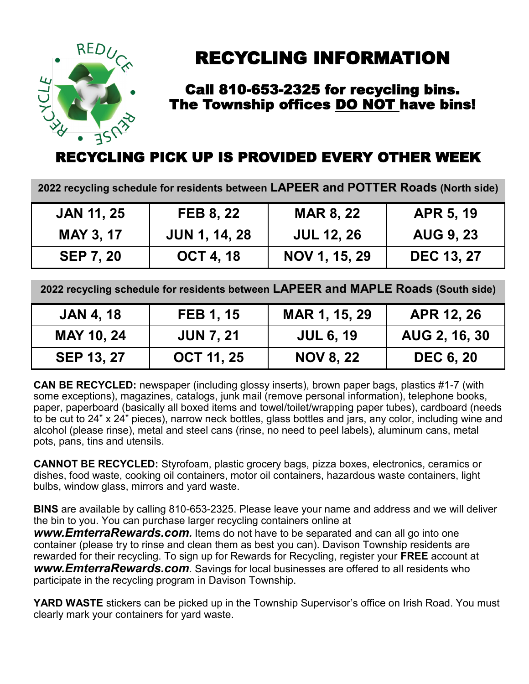

# RECYCLING INFORMATION

### Call 810-653-2325 for recycling bins. The Township offices DO NOT have bins!

# RECYCLING PICK UP IS PROVIDED EVERY OTHER WEEK

**2022 recycling schedule for residents between LAPEER and POTTER Roads (North side)**

| <b>JAN 11, 25</b> | <b>FEB 8, 22</b>     | <b>MAR 8, 22</b>  | <b>APR 5, 19</b>  |
|-------------------|----------------------|-------------------|-------------------|
| <b>MAY 3, 17</b>  | <b>JUN 1, 14, 28</b> | <b>JUL 12, 26</b> | <b>AUG 9, 23</b>  |
| <b>SEP 7, 20</b>  | <b>OCT 4, 18</b>     | NOV 1, 15, 29     | <b>DEC 13, 27</b> |

**2022 recycling schedule for residents between LAPEER and MAPLE Roads (South side)**

| <b>JAN 4, 18</b>  | <b>FEB 1, 15</b>  | MAR 1, 15, 29    | APR 12, 26       |
|-------------------|-------------------|------------------|------------------|
| <b>MAY 10, 24</b> | <b>JUN 7, 21</b>  | <b>JUL 6, 19</b> | AUG 2, 16, 30    |
| <b>SEP 13, 27</b> | <b>OCT 11, 25</b> | <b>NOV 8, 22</b> | <b>DEC 6, 20</b> |

**CAN BE RECYCLED:** newspaper (including glossy inserts), brown paper bags, plastics #1-7 (with some exceptions), magazines, catalogs, junk mail (remove personal information), telephone books, paper, paperboard (basically all boxed items and towel/toilet/wrapping paper tubes), cardboard (needs to be cut to 24" x 24" pieces), narrow neck bottles, glass bottles and jars, any color, including wine and alcohol (please rinse), metal and steel cans (rinse, no need to peel labels), aluminum cans, metal pots, pans, tins and utensils.

**CANNOT BE RECYCLED:** Styrofoam, plastic grocery bags, pizza boxes, electronics, ceramics or dishes, food waste, cooking oil containers, motor oil containers, hazardous waste containers, light bulbs, window glass, mirrors and yard waste.

**BINS** are available by calling 810-653-2325. Please leave your name and address and we will deliver the bin to you. You can purchase larger recycling containers online at

*www.EmterraRewards.com.* Items do not have to be separated and can all go into one container (please try to rinse and clean them as best you can). Davison Township residents are rewarded for their recycling. To sign up for Rewards for Recycling, register your **FREE** account at *www.EmterraRewards.com*. Savings for local businesses are offered to all residents who participate in the recycling program in Davison Township.

YARD WASTE stickers can be picked up in the Township Supervisor's office on Irish Road. You must clearly mark your containers for yard waste.